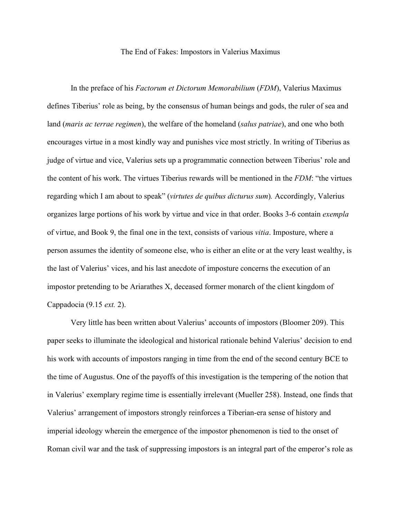## The End of Fakes: Impostors in Valerius Maximus

In the preface of his *Factorum et Dictorum Memorabilium* (*FDM*), Valerius Maximus defines Tiberius' role as being, by the consensus of human beings and gods, the ruler of sea and land (*maris ac terrae regimen*), the welfare of the homeland (*salus patriae*), and one who both encourages virtue in a most kindly way and punishes vice most strictly. In writing of Tiberius as judge of virtue and vice, Valerius sets up a programmatic connection between Tiberius' role and the content of his work. The virtues Tiberius rewards will be mentioned in the *FDM*: "the virtues regarding which I am about to speak" (*virtutes de quibus dicturus sum*)*.* Accordingly, Valerius organizes large portions of his work by virtue and vice in that order. Books 3-6 contain *exempla* of virtue, and Book 9, the final one in the text, consists of various *vitia*. Imposture, where a person assumes the identity of someone else, who is either an elite or at the very least wealthy, is the last of Valerius' vices, and his last anecdote of imposture concerns the execution of an impostor pretending to be Ariarathes X, deceased former monarch of the client kingdom of Cappadocia (9.15 *ext.* 2).

Very little has been written about Valerius' accounts of impostors (Bloomer 209). This paper seeks to illuminate the ideological and historical rationale behind Valerius' decision to end his work with accounts of impostors ranging in time from the end of the second century BCE to the time of Augustus. One of the payoffs of this investigation is the tempering of the notion that in Valerius' exemplary regime time is essentially irrelevant (Mueller 258). Instead, one finds that Valerius' arrangement of impostors strongly reinforces a Tiberian-era sense of history and imperial ideology wherein the emergence of the impostor phenomenon is tied to the onset of Roman civil war and the task of suppressing impostors is an integral part of the emperor's role as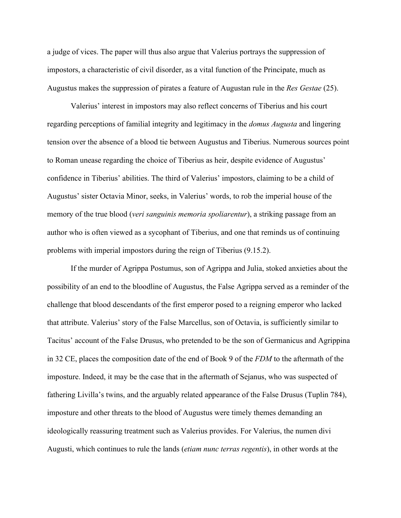a judge of vices. The paper will thus also argue that Valerius portrays the suppression of impostors, a characteristic of civil disorder, as a vital function of the Principate, much as Augustus makes the suppression of pirates a feature of Augustan rule in the *Res Gestae* (25).

Valerius' interest in impostors may also reflect concerns of Tiberius and his court regarding perceptions of familial integrity and legitimacy in the *domus Augusta* and lingering tension over the absence of a blood tie between Augustus and Tiberius. Numerous sources point to Roman unease regarding the choice of Tiberius as heir, despite evidence of Augustus' confidence in Tiberius' abilities. The third of Valerius' impostors, claiming to be a child of Augustus' sister Octavia Minor, seeks, in Valerius' words, to rob the imperial house of the memory of the true blood (*veri sanguinis memoria spoliarentur*), a striking passage from an author who is often viewed as a sycophant of Tiberius, and one that reminds us of continuing problems with imperial impostors during the reign of Tiberius (9.15.2).

If the murder of Agrippa Postumus, son of Agrippa and Julia, stoked anxieties about the possibility of an end to the bloodline of Augustus, the False Agrippa served as a reminder of the challenge that blood descendants of the first emperor posed to a reigning emperor who lacked that attribute. Valerius' story of the False Marcellus, son of Octavia, is sufficiently similar to Tacitus' account of the False Drusus, who pretended to be the son of Germanicus and Agrippina in 32 CE, places the composition date of the end of Book 9 of the *FDM* to the aftermath of the imposture. Indeed, it may be the case that in the aftermath of Sejanus, who was suspected of fathering Livilla's twins, and the arguably related appearance of the False Drusus (Tuplin 784), imposture and other threats to the blood of Augustus were timely themes demanding an ideologically reassuring treatment such as Valerius provides. For Valerius, the numen divi Augusti, which continues to rule the lands (*etiam nunc terras regentis*), in other words at the